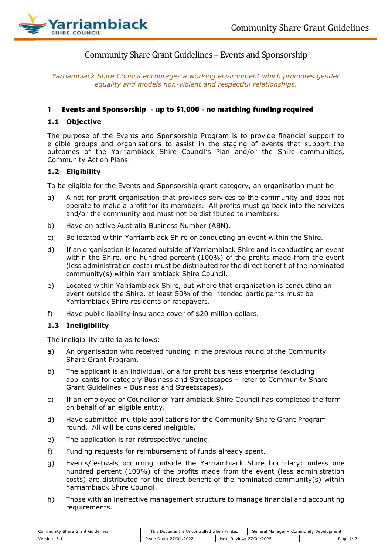

# Community Share Grant Guidelines – Events and Sponsorship

*Yarriambiack Shire Council encourages a working environment which promotes gender equality and models non-violent and respectful relationships.*

# 1 Events and Sponsorship - up to \$1,000 - no matching funding required

## **1.1 Objective**

The purpose of the Events and Sponsorship Program is to provide financial support to eligible groups and organisations to assist in the staging of events that support the outcomes of the Yarriambiack Shire Council's Plan and/or the Shire communities, Community Action Plans.

## **1.2 Eligibility**

To be eligible for the Events and Sponsorship grant category, an organisation must be:

- a) A not for profit organisation that provides services to the community and does not operate to make a profit for its members. All profits must go back into the services and/or the community and must not be distributed to members.
- b) Have an active Australia Business Number (ABN).
- c) Be located within Yarriambiack Shire or conducting an event within the Shire.
- d) If an organisation is located outside of Yarriambiack Shire and is conducting an event within the Shire, one hundred percent (100%) of the profits made from the event (less administration costs) must be distributed for the direct benefit of the nominated community(s) within Yarriambiack Shire Council.
- e) Located within Yarriambiack Shire, but where that organisation is conducting an event outside the Shire, at least 50% of the intended participants must be Yarriambiack Shire residents or ratepayers.
- f) Have public liability insurance cover of \$20 million dollars.

## **1.3 Ineligibility**

The ineligibility criteria as follows:

- a) An organisation who received funding in the previous round of the Community Share Grant Program.
- b) The applicant is an individual, or a for profit business enterprise (excluding applicants for category Business and Streetscapes – refer to Community Share Grant Guidelines – Business and Streetscapes).
- c) If an employee or Councillor of Yarriambiack Shire Council has completed the form on behalf of an eligible entity.
- d) Have submitted multiple applications for the Community Share Grant Program round. All will be considered ineligible.
- e) The application is for retrospective funding.
- f) Funding requests for reimbursement of funds already spent.
- g) Events/festivals occurring outside the Yarriambiack Shire boundary; unless one hundred percent (100%) of the profits made from the event (less administration costs) are distributed for the direct benefit of the nominated community(s) within Yarriambiack Shire Council.
- h) Those with an ineffective management structure to manage financial and accounting requirements.

| Community Share Grant Guidelines | This Document is Uncontrolled when Printed<br>General Manager – ' |                         | Development<br>Community |                   |
|----------------------------------|-------------------------------------------------------------------|-------------------------|--------------------------|-------------------|
| Version: 3.1                     | Issue Date: 27/04/2022                                            | Next Review: 27/04/2025 |                          | Page <sub>-</sub> |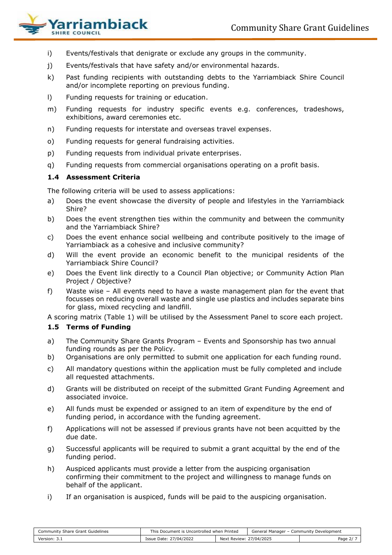

- i) Events/festivals that denigrate or exclude any groups in the community.
- j) Events/festivals that have safety and/or environmental hazards.
- k) Past funding recipients with outstanding debts to the Yarriambiack Shire Council and/or incomplete reporting on previous funding.
- l) Funding requests for training or education.
- m) Funding requests for industry specific events e.g. conferences, tradeshows, exhibitions, award ceremonies etc.
- n) Funding requests for interstate and overseas travel expenses.
- o) Funding requests for general fundraising activities.
- p) Funding requests from individual private enterprises.
- q) Funding requests from commercial organisations operating on a profit basis.

# **1.4 Assessment Criteria**

The following criteria will be used to assess applications:

- a) Does the event showcase the diversity of people and lifestyles in the Yarriambiack Shire?
- b) Does the event strengthen ties within the community and between the community and the Yarriambiack Shire?
- c) Does the event enhance social wellbeing and contribute positively to the image of Yarriambiack as a cohesive and inclusive community?
- d) Will the event provide an economic benefit to the municipal residents of the Yarriambiack Shire Council?
- e) Does the Event link directly to a Council Plan objective; or Community Action Plan Project / Objective?
- f) Waste wise All events need to have a waste management plan for the event that focusses on reducing overall waste and single use plastics and includes separate bins for glass, mixed recycling and landfill.

A scoring matrix (Table 1) will be utilised by the Assessment Panel to score each project.

# **1.5 Terms of Funding**

- a) The Community Share Grants Program Events and Sponsorship has two annual funding rounds as per the Policy.
- b) Organisations are only permitted to submit one application for each funding round.
- c) All mandatory questions within the application must be fully completed and include all requested attachments.
- d) Grants will be distributed on receipt of the submitted Grant Funding Agreement and associated invoice.
- e) All funds must be expended or assigned to an item of expenditure by the end of funding period, in accordance with the funding agreement.
- f) Applications will not be assessed if previous grants have not been acquitted by the due date.
- g) Successful applicants will be required to submit a grant acquittal by the end of the funding period.
- h) Auspiced applicants must provide a letter from the auspicing organisation confirming their commitment to the project and willingness to manage funds on behalf of the applicant.
- i) If an organisation is auspiced, funds will be paid to the auspicing organisation.

| Community Share Grant Guidelines | This Document is Uncontrolled when Printed |                         | General Manager – Community Development |           |
|----------------------------------|--------------------------------------------|-------------------------|-----------------------------------------|-----------|
| Version:                         | Issue Date: 27/04/2022                     | Next Review: 27/04/2025 |                                         | Page $21$ |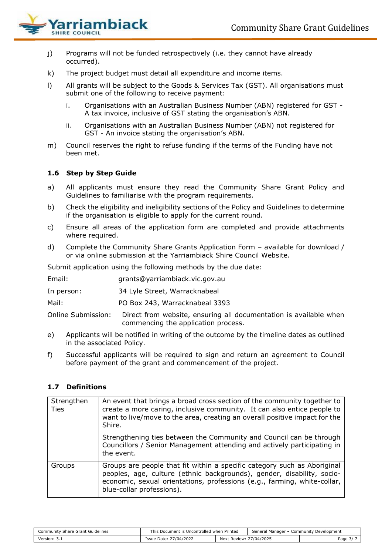

- j) Programs will not be funded retrospectively (i.e. they cannot have already occurred).
- k) The project budget must detail all expenditure and income items.
- l) All grants will be subject to the Goods & Services Tax (GST). All organisations must submit one of the following to receive payment:
	- i. Organisations with an Australian Business Number (ABN) registered for GST A tax invoice, inclusive of GST stating the organisation's ABN.
	- ii. Organisations with an Australian Business Number (ABN) not registered for GST - An invoice stating the organisation's ABN.
- m) Council reserves the right to refuse funding if the terms of the Funding have not been met.

#### **1.6 Step by Step Guide**

- a) All applicants must ensure they read the Community Share Grant Policy and Guidelines to familiarise with the program requirements.
- b) Check the eligibility and ineligibility sections of the Policy and Guidelines to determine if the organisation is eligible to apply for the current round.
- c) Ensure all areas of the application form are completed and provide attachments where required.
- d) Complete the Community Share Grants Application Form available for download / or via online submission at the Yarriambiack Shire Council Website.

Submit application using the following methods by the due date:

| Email:     | grants@yarriambiack.vic.gov.au |
|------------|--------------------------------|
| In person: | 34 Lyle Street, Warracknabeal  |
| Mail:      | PO Box 243, Warracknabeal 3393 |

- Online Submission: Direct from website, ensuring all documentation is available when commencing the application process.
- e) Applicants will be notified in writing of the outcome by the timeline dates as outlined in the associated Policy.
- f) Successful applicants will be required to sign and return an agreement to Council before payment of the grant and commencement of the project.

## **1.7 Definitions**

| Strengthen<br><b>Ties</b> | An event that brings a broad cross section of the community together to<br>create a more caring, inclusive community. It can also entice people to<br>want to live/move to the area, creating an overall positive impact for the<br>Shire.                  |
|---------------------------|-------------------------------------------------------------------------------------------------------------------------------------------------------------------------------------------------------------------------------------------------------------|
|                           | Strengthening ties between the Community and Council can be through<br>Councillors / Senior Management attending and actively participating in<br>the event.                                                                                                |
| Groups                    | Groups are people that fit within a specific category such as Aboriginal<br>peoples, age, culture (ethnic backgrounds), gender, disability, socio-<br>economic, sexual orientations, professions (e.g., farming, white-collar,<br>blue-collar professions). |

| Community Share Grant Guidelines | This Document is Uncontrolled when Printed<br>General Manager - Community Development |                         |  |           |
|----------------------------------|---------------------------------------------------------------------------------------|-------------------------|--|-----------|
| Version: 3.1                     | Issue Date: 27/04/2022                                                                | Next Review: 27/04/2025 |  | Page $3/$ |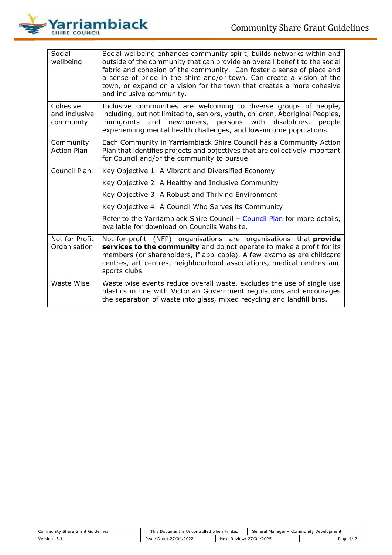

| Social<br>wellbeing                    | Social wellbeing enhances community spirit, builds networks within and<br>outside of the community that can provide an overall benefit to the social<br>fabric and cohesion of the community. Can foster a sense of place and<br>a sense of pride in the shire and/or town. Can create a vision of the<br>town, or expand on a vision for the town that creates a more cohesive<br>and inclusive community. |
|----------------------------------------|-------------------------------------------------------------------------------------------------------------------------------------------------------------------------------------------------------------------------------------------------------------------------------------------------------------------------------------------------------------------------------------------------------------|
| Cohesive<br>and inclusive<br>community | Inclusive communities are welcoming to diverse groups of people,<br>including, but not limited to, seniors, youth, children, Aboriginal Peoples,<br>and<br>newcomers, persons with<br>disabilities, people<br>immigrants<br>experiencing mental health challenges, and low-income populations.                                                                                                              |
| Community<br><b>Action Plan</b>        | Each Community in Yarriambiack Shire Council has a Community Action<br>Plan that identifies projects and objectives that are collectively important<br>for Council and/or the community to pursue.                                                                                                                                                                                                          |
| Council Plan                           | Key Objective 1: A Vibrant and Diversified Economy                                                                                                                                                                                                                                                                                                                                                          |
|                                        | Key Objective 2: A Healthy and Inclusive Community                                                                                                                                                                                                                                                                                                                                                          |
|                                        | Key Objective 3: A Robust and Thriving Environment                                                                                                                                                                                                                                                                                                                                                          |
|                                        | Key Objective 4: A Council Who Serves its Community                                                                                                                                                                                                                                                                                                                                                         |
|                                        | Refer to the Yarriambiack Shire Council - Council Plan for more details,<br>available for download on Councils Website.                                                                                                                                                                                                                                                                                     |
| Not for Profit<br>Organisation         | Not-for-profit (NFP) organisations are organisations that <b>provide</b><br>services to the community and do not operate to make a profit for its<br>members (or shareholders, if applicable). A few examples are childcare<br>centres, art centres, neighbourhood associations, medical centres and<br>sports clubs.                                                                                       |
| Waste Wise                             | Waste wise events reduce overall waste, excludes the use of single use<br>plastics in line with Victorian Government regulations and encourages<br>the separation of waste into glass, mixed recycling and landfill bins.                                                                                                                                                                                   |

| Community Share Grant Guidelines | This Document is Uncontrolled when Printed |                         | Community Development<br>General Manager – |         |
|----------------------------------|--------------------------------------------|-------------------------|--------------------------------------------|---------|
| Version: 3.1                     | Issue Date: 27/04/2022                     | Next Review: 27/04/2025 |                                            | Page 4, |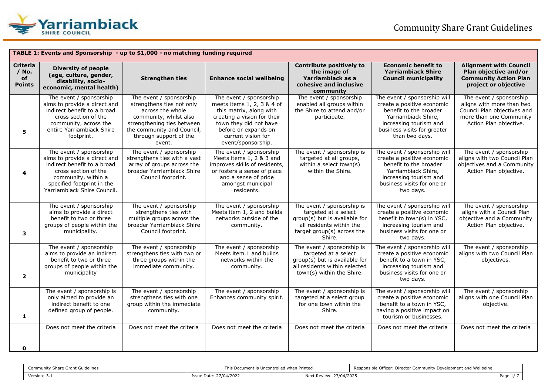

|                                                   | TABLE 1: Events and Sponsorship - up to \$1,000 - no matching funding required                                                                                                                     |                                                                                                                                                                                                    |                                                                                                                                                                                                               |                                                                                                                                                         |                                                                                                                                                                                        |                                                                                                                                          |  |
|---------------------------------------------------|----------------------------------------------------------------------------------------------------------------------------------------------------------------------------------------------------|----------------------------------------------------------------------------------------------------------------------------------------------------------------------------------------------------|---------------------------------------------------------------------------------------------------------------------------------------------------------------------------------------------------------------|---------------------------------------------------------------------------------------------------------------------------------------------------------|----------------------------------------------------------------------------------------------------------------------------------------------------------------------------------------|------------------------------------------------------------------------------------------------------------------------------------------|--|
| <b>Criteria</b><br>$/$ No.<br>of<br><b>Points</b> | <b>Diversity of people</b><br>(age, culture, gender,<br>disability, socio-<br>economic, mental health)                                                                                             | <b>Strengthen ties</b>                                                                                                                                                                             | <b>Enhance social wellbeing</b>                                                                                                                                                                               | <b>Contribute positively to</b><br>the image of<br>Yarriambiack as a<br>cohesive and inclusive<br>community                                             | <b>Economic benefit to</b><br><b>Yarriambiack Shire</b><br><b>Council municipality</b>                                                                                                 | <b>Alignment with Council</b><br>Plan objective and/or<br><b>Community Action Plan</b><br>project or objective                           |  |
| 5                                                 | The event / sponsorship<br>aims to provide a direct and<br>indirect benefit to a broad<br>cross section of the<br>community, across the<br>entire Yarriambiack Shire<br>footprint.                 | The event / sponsorship<br>strengthens ties not only<br>across the whole<br>community, whilst also<br>strengthening ties between<br>the community and Council,<br>through support of the<br>event. | The event / sponsorship<br>meets items 1, 2, 3 & 4 of<br>this matrix, along with<br>creating a vision for their<br>town they did not have<br>before or expands on<br>current vision for<br>event/sponsorship. | The event / sponsorship<br>enabled all groups within<br>the Shire to attend and/or<br>participate.                                                      | The event / sponsorship will<br>create a positive economic<br>benefit to the broader<br>Yarriambiack Shire,<br>increasing tourism and<br>business visits for greater<br>than two days. | The event / sponsorship<br>aligns with more than two<br>Council Plan objectives and<br>more than one Community<br>Action Plan objective. |  |
| 4                                                 | The event / sponsorship<br>aims to provide a direct and<br>indirect benefit to a broad<br>cross section of the<br>community, within a<br>specified footprint in the<br>Yarriambiack Shire Council. | The event / sponsorship<br>strengthens ties with a vast<br>array of groups across the<br>broader Yarriambiack Shire<br>Council footprint.                                                          | The event $\overline{I}$ sponsorship<br>Meets items 1, 2 & 3 and<br>improves skills of residents,<br>or fosters a sense of place<br>and a sense of pride<br>amongst municipal<br>residents.                   | The event / sponsorship is<br>targeted at all groups,<br>within a select town(s)<br>within the Shire.                                                   | The event / sponsorship will<br>create a positive economic<br>benefit to the broader<br>Yarriambiack Shire,<br>increasing tourism and<br>business visits for one or<br>two days.       | The event / sponsorship<br>aligns with two Council Plan<br>objectives and a Community<br>Action Plan objective.                          |  |
| $\mathbf{3}$                                      | The event / sponsorship<br>aims to provide a direct<br>benefit to two or three<br>groups of people within the<br>municipality.                                                                     | The event / sponsorship<br>strengthens ties with<br>multiple groups across the<br>broader Yarriambiack Shire<br>Council footprint.                                                                 | The event / sponsorship<br>Meets item 1, 2 and builds<br>networks outside of the<br>community.                                                                                                                | The event / sponsorship is<br>targeted at a select<br>group(s) but is available for<br>all residents within the<br>target group(s) across the<br>Shire. | The event / sponsorship will<br>create a positive economic<br>benefit to town(s) in YSC,<br>increasing tourism and<br>business visits for one or<br>two days.                          | The event / sponsorship<br>aligns with a Council Plan<br>objective and a Community<br>Action Plan objective.                             |  |
| $\overline{2}$                                    | The event / sponsorship<br>aims to provide an indirect<br>benefit to two or three<br>groups of people within the<br>municipality                                                                   | The event / sponsorship<br>strengthens ties with two or<br>three groups within the<br>immediate community.                                                                                         | The event / sponsorship<br>Meets item 1 and builds<br>networks within the<br>community.                                                                                                                       | The event / sponsorship is<br>targeted at a select<br>group(s) but is available for<br>all residents within selected<br>town(s) within the Shire.       | The event / sponsorship will<br>create a positive economic<br>benefit to a town in YSC,<br>increasing tourism and<br>business visits for one or<br>two days.                           | The event / sponsorship<br>aligns with two Council Plan<br>objectives.                                                                   |  |
| 1                                                 | The event / sponsorship is<br>only aimed to provide an<br>indirect benefit to one<br>defined group of people.                                                                                      | The event / sponsorship<br>strengthens ties with one<br>group within the immediate<br>community.                                                                                                   | The event / sponsorship<br>Enhances community spirit.                                                                                                                                                         | The event / sponsorship is<br>targeted at a select group<br>for one town within the<br>Shire.                                                           | The event / sponsorship will<br>create a positive economic<br>benefit to a town in YSC,<br>having a positive impact on<br>tourism or businesses.                                       | The event / sponsorship<br>aligns with one Council Plan<br>objective.                                                                    |  |
| 0                                                 | Does not meet the criteria                                                                                                                                                                         | Does not meet the criteria                                                                                                                                                                         | Does not meet the criteria                                                                                                                                                                                    | Does not meet the criteria                                                                                                                              | Does not meet the criteria                                                                                                                                                             | Does not meet the criteria                                                                                                               |  |

| Guideline:<br>Community<br>. Grant<br>31 1 C I C | when Printea<br>roneg<br>THIS DOCUMENT IS UNCONT |                            | Wellbeing<br>$\sim$ $\sim$<br>velonmer<br>Responsir<br>Umcer<br>: Director<br>nmunity i<br>$\sim$ |                                                |
|--------------------------------------------------|--------------------------------------------------|----------------------------|---------------------------------------------------------------------------------------------------|------------------------------------------------|
| Version: 3.                                      | 122<br>Date<br>1/04/2022                         | Next R<br>770472025<br>≓w. |                                                                                                   | the contract of the contract of<br>. .<br>∕aqe |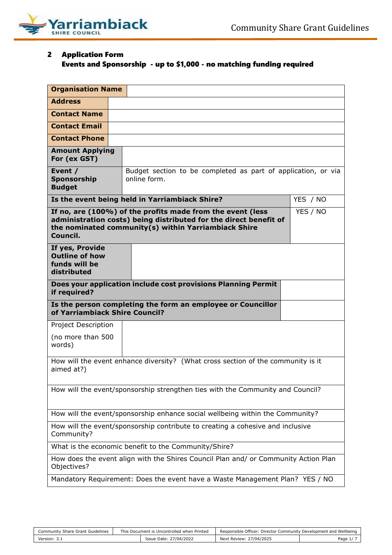

# 2 Application Form Events and Sponsorship - up to \$1,000 - no matching funding required

| <b>Organisation Name</b>                                                                     |  |                                                                                                                                                                                         |          |  |  |
|----------------------------------------------------------------------------------------------|--|-----------------------------------------------------------------------------------------------------------------------------------------------------------------------------------------|----------|--|--|
| <b>Address</b>                                                                               |  |                                                                                                                                                                                         |          |  |  |
| <b>Contact Name</b>                                                                          |  |                                                                                                                                                                                         |          |  |  |
| <b>Contact Email</b>                                                                         |  |                                                                                                                                                                                         |          |  |  |
| <b>Contact Phone</b>                                                                         |  |                                                                                                                                                                                         |          |  |  |
| <b>Amount Applying</b><br>For (ex GST)                                                       |  |                                                                                                                                                                                         |          |  |  |
| Event /<br>Sponsorship<br><b>Budget</b>                                                      |  | Budget section to be completed as part of application, or via<br>online form.                                                                                                           |          |  |  |
|                                                                                              |  | Is the event being held in Yarriambiack Shire?                                                                                                                                          | YES / NO |  |  |
| Council.                                                                                     |  | If no, are (100%) of the profits made from the event (less<br>administration costs) being distributed for the direct benefit of<br>the nominated community(s) within Yarriambiack Shire | YES / NO |  |  |
| If yes, Provide<br><b>Outline of how</b><br>funds will be<br>distributed                     |  |                                                                                                                                                                                         |          |  |  |
| if required?                                                                                 |  | Does your application include cost provisions Planning Permit                                                                                                                           |          |  |  |
| of Yarriambiack Shire Council?                                                               |  | Is the person completing the form an employee or Councillor                                                                                                                             |          |  |  |
| Project Description                                                                          |  |                                                                                                                                                                                         |          |  |  |
| (no more than 500<br>words)                                                                  |  |                                                                                                                                                                                         |          |  |  |
| aimed at?)                                                                                   |  | How will the event enhance diversity? (What cross section of the community is it                                                                                                        |          |  |  |
| How will the event/sponsorship strengthen ties with the Community and Council?               |  |                                                                                                                                                                                         |          |  |  |
| How will the event/sponsorship enhance social wellbeing within the Community?                |  |                                                                                                                                                                                         |          |  |  |
| How will the event/sponsorship contribute to creating a cohesive and inclusive<br>Community? |  |                                                                                                                                                                                         |          |  |  |
|                                                                                              |  | What is the economic benefit to the Community/Shire?                                                                                                                                    |          |  |  |
| Objectives?                                                                                  |  | How does the event align with the Shires Council Plan and/ or Community Action Plan                                                                                                     |          |  |  |
|                                                                                              |  | Mandatory Requirement: Does the event have a Waste Management Plan? YES / NO                                                                                                            |          |  |  |

| Community Share Grant Guidelines | This Document is Uncontrolled when Printed |                        | Responsible Officer: Director Community Development and Wellbeing |         |  |
|----------------------------------|--------------------------------------------|------------------------|-------------------------------------------------------------------|---------|--|
| Version: 3                       |                                            | Issue Date: 27/04/2022 | Next Review: 27/04/2025                                           | Page 1. |  |